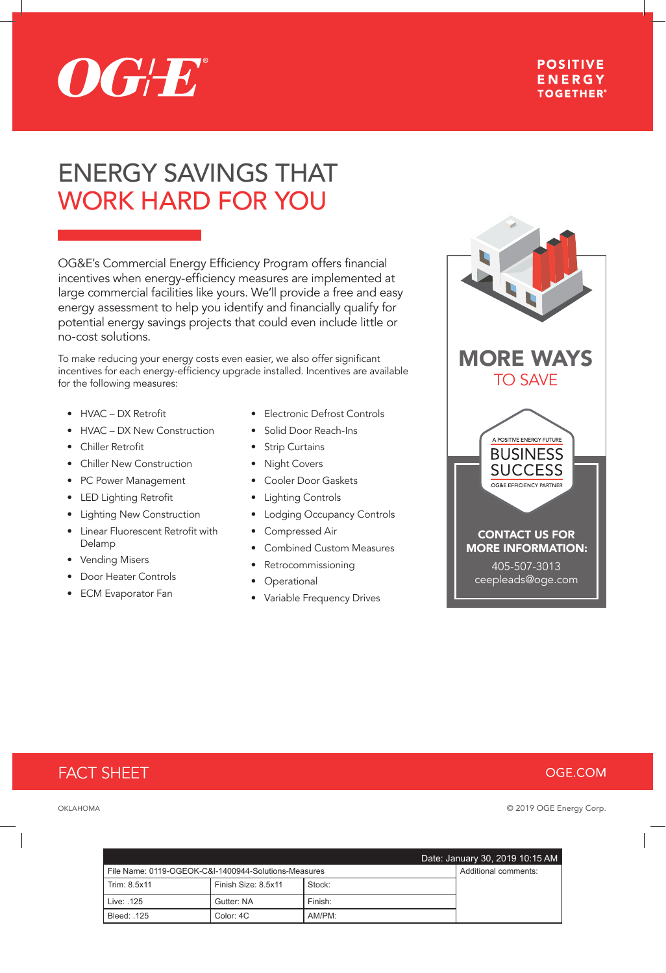

### **POSITIVE ENERGY TOGETHER®**

# ENERGY SAVINGS THAT WORK HARD FOR YOU

OG&E's Commercial Energy Efficiency Program offers financial incentives when energy-efficiency measures are implemented at large commercial facilities like yours. We'll provide a free and easy energy assessment to help you identify and financially qualify for potential energy savings projects that could even include little or no-cost solutions.

To make reducing your energy costs even easier, we also offer significant incentives for each energy-efficiency upgrade installed. Incentives are available for the following measures:

- HVAC DX Retrofit
- HVAC DX New Construction
- Chiller Retrofit
- **Chiller New Construction**
- PC Power Management
- LED Lighting Retrofit
- Lighting New Construction
- Linear Fluorescent Retrofit with Delamp
- **Vending Misers**
- Door Heater Controls
- **ECM Evaporator Fan**
- Electronic Defrost Controls
- Solid Door Reach-Ins
- Strip Curtains
- Night Covers
- Cooler Door Gaskets
- Lighting Controls
- Lodging Occupancy Controls
- Compressed Air
- Combined Custom Measures
- Retrocommissioning
- Operational
- Variable Frequency Drives



# FACT SHEET

### **OGE.COM**

OKLAHOMA © 2019 OGE Energy Corp.

|                                                      |                     |         | Date: January 30, 2019 10:15 AM |
|------------------------------------------------------|---------------------|---------|---------------------------------|
| File Name: 0119-OGEOK-C&I-1400944-Solutions-Measures |                     |         | Additional comments:            |
| Trim: 8.5x11                                         | Finish Size: 8.5x11 | Stock:  |                                 |
| Live: .125                                           | Gutter: NA          | Finish: |                                 |
| Bleed: 125                                           | Color: 4C           | AM/PM:  |                                 |